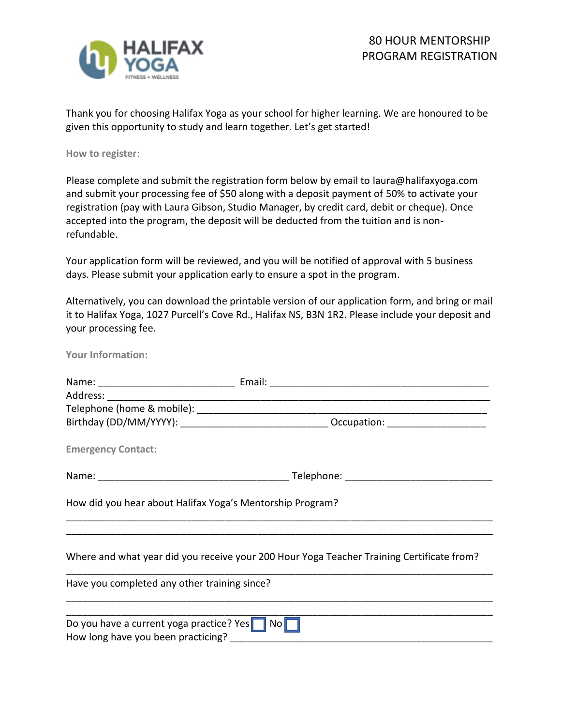

Thank you for choosing Halifax Yoga as your school for higher learning. We are honoured to be given this opportunity to study and learn together. Let's get started!

**How to register**:

Please complete and submit the registration form below by email to laura@halifaxyoga.com and submit your processing fee of \$50 along with a deposit payment of 50% to activate your registration (pay with Laura Gibson, Studio Manager, by credit card, debit or cheque). Once accepted into the program, the deposit will be deducted from the tuition and is nonrefundable.

Your application form will be reviewed, and you will be notified of approval with 5 business days. Please submit your application early to ensure a spot in the program.

Alternatively, you can download the printable version of our application form, and bring or mail it to Halifax Yoga, 1027 Purcell's Cove Rd., Halifax NS, B3N 1R2. Please include your deposit and your processing fee.

**Your Information:**

| <b>Emergency Contact:</b>                      |                                                           |                                                                                           |
|------------------------------------------------|-----------------------------------------------------------|-------------------------------------------------------------------------------------------|
|                                                |                                                           |                                                                                           |
|                                                | How did you hear about Halifax Yoga's Mentorship Program? |                                                                                           |
|                                                |                                                           |                                                                                           |
|                                                |                                                           | Where and what year did you receive your 200 Hour Yoga Teacher Training Certificate from? |
| Have you completed any other training since?   |                                                           |                                                                                           |
|                                                |                                                           |                                                                                           |
| Do you have a current yoga practice? Yes<br>No |                                                           |                                                                                           |
|                                                |                                                           |                                                                                           |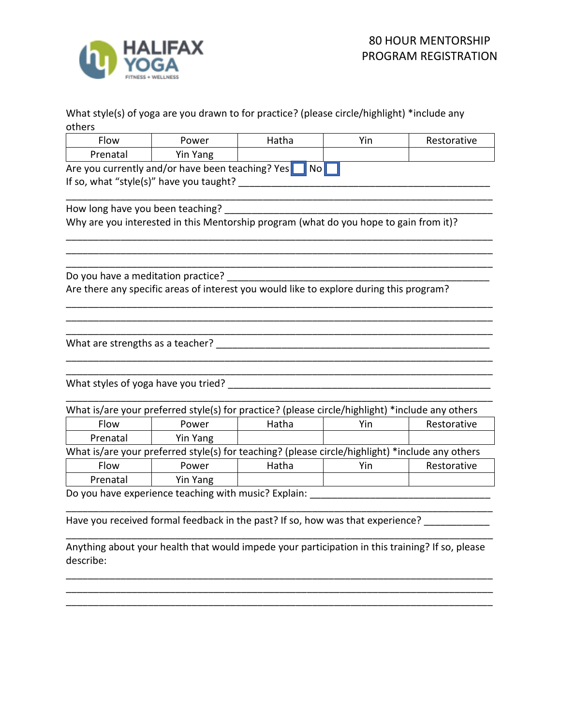

## What style(s) of yoga are you drawn to for practice? (please circle/highlight) \*include any others

| Flow                                | Power                                                                                           | Hatha            | Yin | Restorative |
|-------------------------------------|-------------------------------------------------------------------------------------------------|------------------|-----|-------------|
| Prenatal                            | Yin Yang                                                                                        |                  |     |             |
|                                     | Are you currently and/or have been teaching? Yes                                                | $\overline{N}$ o |     |             |
|                                     | If so, what "style(s)" have you taught?                                                         |                  |     |             |
|                                     |                                                                                                 |                  |     |             |
| How long have you been teaching?    |                                                                                                 |                  |     |             |
|                                     | Why are you interested in this Mentorship program (what do you hope to gain from it)?           |                  |     |             |
|                                     |                                                                                                 |                  |     |             |
|                                     |                                                                                                 |                  |     |             |
| Do you have a meditation practice?  |                                                                                                 |                  |     |             |
|                                     | Are there any specific areas of interest you would like to explore during this program?         |                  |     |             |
|                                     |                                                                                                 |                  |     |             |
|                                     |                                                                                                 |                  |     |             |
|                                     |                                                                                                 |                  |     |             |
| What are strengths as a teacher?    |                                                                                                 |                  |     |             |
|                                     |                                                                                                 |                  |     |             |
|                                     |                                                                                                 |                  |     |             |
| What styles of yoga have you tried? |                                                                                                 |                  |     |             |
|                                     |                                                                                                 |                  |     |             |
|                                     | What is/are your preferred style(s) for practice? (please circle/highlight) *include any others |                  |     |             |
| Flow                                | Power                                                                                           | Hatha            | Yin | Restorative |
| Prenatal                            | Yin Yang                                                                                        |                  |     |             |
|                                     | What is/are your preferred style(s) for teaching? (please circle/highlight) *include any others |                  |     |             |
| Flow                                | Power                                                                                           | Hatha            | Yin | Restorative |
| Prenatal                            | Yin Yang                                                                                        |                  |     |             |
|                                     | Do you have experience teaching with music? Explain:                                            |                  |     |             |
|                                     |                                                                                                 |                  |     |             |
|                                     | Have you received formal feedback in the past? If so, how was that experience?                  |                  |     |             |

\_\_\_\_\_\_\_\_\_\_\_\_\_\_\_\_\_\_\_\_\_\_\_\_\_\_\_\_\_\_\_\_\_\_\_\_\_\_\_\_\_\_\_\_\_\_\_\_\_\_\_\_\_\_\_\_\_\_\_\_\_\_\_\_\_\_\_\_\_\_\_\_\_\_\_\_\_\_

Anything about your health that would impede your participation in this training? If so, please describe:

\_\_\_\_\_\_\_\_\_\_\_\_\_\_\_\_\_\_\_\_\_\_\_\_\_\_\_\_\_\_\_\_\_\_\_\_\_\_\_\_\_\_\_\_\_\_\_\_\_\_\_\_\_\_\_\_\_\_\_\_\_\_\_\_\_\_\_\_\_\_\_\_\_\_\_\_\_\_ \_\_\_\_\_\_\_\_\_\_\_\_\_\_\_\_\_\_\_\_\_\_\_\_\_\_\_\_\_\_\_\_\_\_\_\_\_\_\_\_\_\_\_\_\_\_\_\_\_\_\_\_\_\_\_\_\_\_\_\_\_\_\_\_\_\_\_\_\_\_\_\_\_\_\_\_\_\_ \_\_\_\_\_\_\_\_\_\_\_\_\_\_\_\_\_\_\_\_\_\_\_\_\_\_\_\_\_\_\_\_\_\_\_\_\_\_\_\_\_\_\_\_\_\_\_\_\_\_\_\_\_\_\_\_\_\_\_\_\_\_\_\_\_\_\_\_\_\_\_\_\_\_\_\_\_\_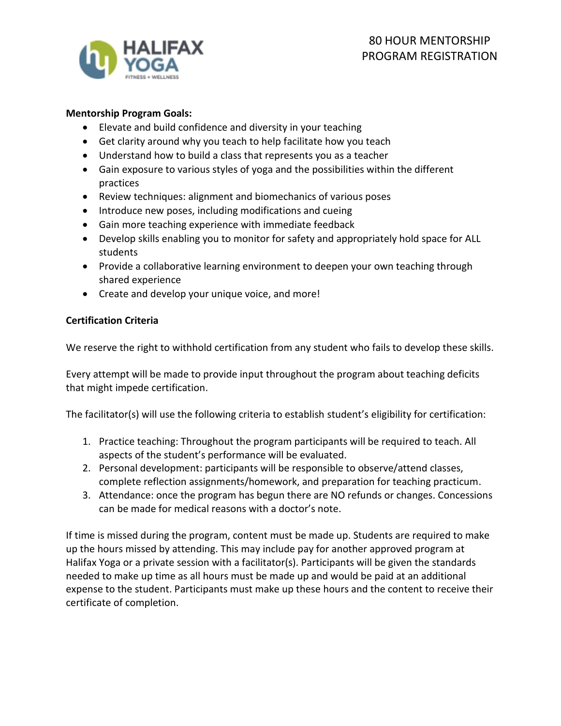

## **Mentorship Program Goals:**

- Elevate and build confidence and diversity in your teaching
- Get clarity around why you teach to help facilitate how you teach
- Understand how to build a class that represents you as a teacher
- Gain exposure to various styles of yoga and the possibilities within the different practices
- Review techniques: alignment and biomechanics of various poses
- Introduce new poses, including modifications and cueing
- Gain more teaching experience with immediate feedback
- Develop skills enabling you to monitor for safety and appropriately hold space for ALL students
- Provide a collaborative learning environment to deepen your own teaching through shared experience
- Create and develop your unique voice, and more!

## **Certification Criteria**

We reserve the right to withhold certification from any student who fails to develop these skills.

Every attempt will be made to provide input throughout the program about teaching deficits that might impede certification.

The facilitator(s) will use the following criteria to establish student's eligibility for certification:

- 1. Practice teaching: Throughout the program participants will be required to teach. All aspects of the student's performance will be evaluated.
- 2. Personal development: participants will be responsible to observe/attend classes, complete reflection assignments/homework, and preparation for teaching practicum.
- 3. Attendance: once the program has begun there are NO refunds or changes. Concessions can be made for medical reasons with a doctor's note.

If time is missed during the program, content must be made up. Students are required to make up the hours missed by attending. This may include pay for another approved program at Halifax Yoga or a private session with a facilitator(s). Participants will be given the standards needed to make up time as all hours must be made up and would be paid at an additional expense to the student. Participants must make up these hours and the content to receive their certificate of completion.